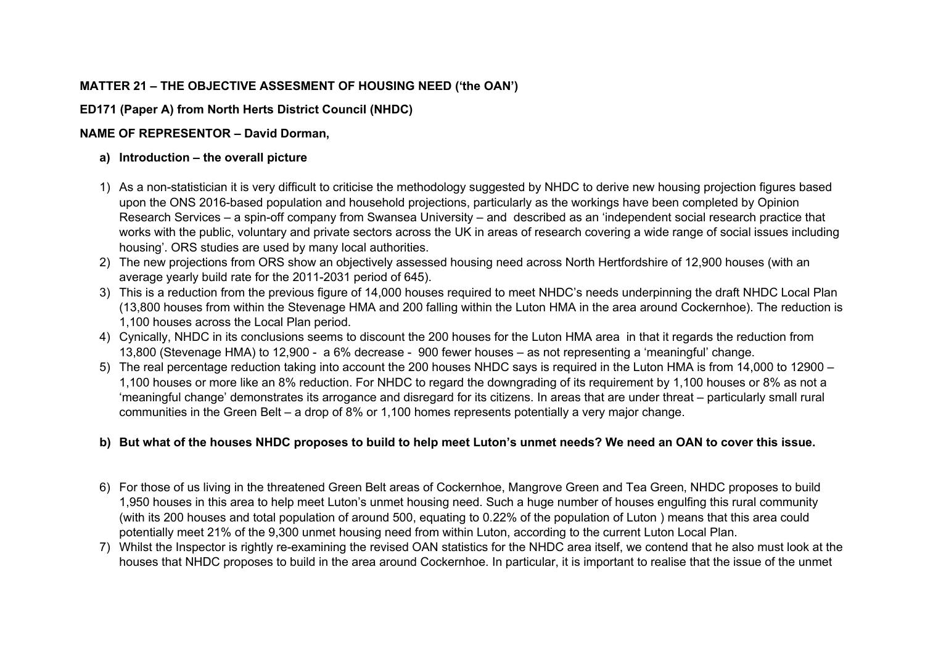# **MATTER 21 – THE OBJECTIVE ASSESMENT OF HOUSING NEED ('the OAN')**

# **ED171 (Paper A) from North Herts District Council (NHDC)**

# **NAME OF REPRESENTOR – David Dorman,**

### **a) Introduction – the overall picture**

- 1) As a non-statistician it is very difficult to criticise the methodology suggested by NHDC to derive new housing projection figures based upon the ONS 2016-based population and household projections, particularly as the workings have been completed by Opinion Research Services – a spin-off company from Swansea University – and described as an 'independent social research practice that works with the public, voluntary and private sectors across the UK in areas of research covering a wide range of social issues including housing'. ORS studies are used by many local authorities.
- 2) The new projections from ORS show an objectively assessed housing need across North Hertfordshire of 12,900 houses (with an average yearly build rate for the 2011-2031 period of 645).
- 3) This is a reduction from the previous figure of 14,000 houses required to meet NHDC's needs underpinning the draft NHDC Local Plan (13,800 houses from within the Stevenage HMA and 200 falling within the Luton HMA in the area around Cockernhoe). The reduction is 1,100 houses across the Local Plan period.
- 4) Cynically, NHDC in its conclusions seems to discount the 200 houses for the Luton HMA area in that it regards the reduction from 13,800 (Stevenage HMA) to 12,900 - a 6% decrease - 900 fewer houses – as not representing a 'meaningful' change.
- 5) The real percentage reduction taking into account the 200 houses NHDC says is required in the Luton HMA is from 14,000 to 12900 1,100 houses or more like an 8% reduction. For NHDC to regard the downgrading of its requirement by 1,100 houses or 8% as not a 'meaningful change' demonstrates its arrogance and disregard for its citizens. In areas that are under threat – particularly small rural communities in the Green Belt – a drop of 8% or 1,100 homes represents potentially a very major change.

# **b) But what of the houses NHDC proposes to build to help meet Luton's unmet needs? We need an OAN to cover this issue.**

- 6) For those of us living in the threatened Green Belt areas of Cockernhoe, Mangrove Green and Tea Green, NHDC proposes to build 1,950 houses in this area to help meet Luton's unmet housing need. Such a huge number of houses engulfing this rural community (with its 200 houses and total population of around 500, equating to 0.22% of the population of Luton ) means that this area could potentially meet 21% of the 9,300 unmet housing need from within Luton, according to the current Luton Local Plan.
- 7) Whilst the Inspector is rightly re-examining the revised OAN statistics for the NHDC area itself, we contend that he also must look at the houses that NHDC proposes to build in the area around Cockernhoe. In particular, it is important to realise that the issue of the unmet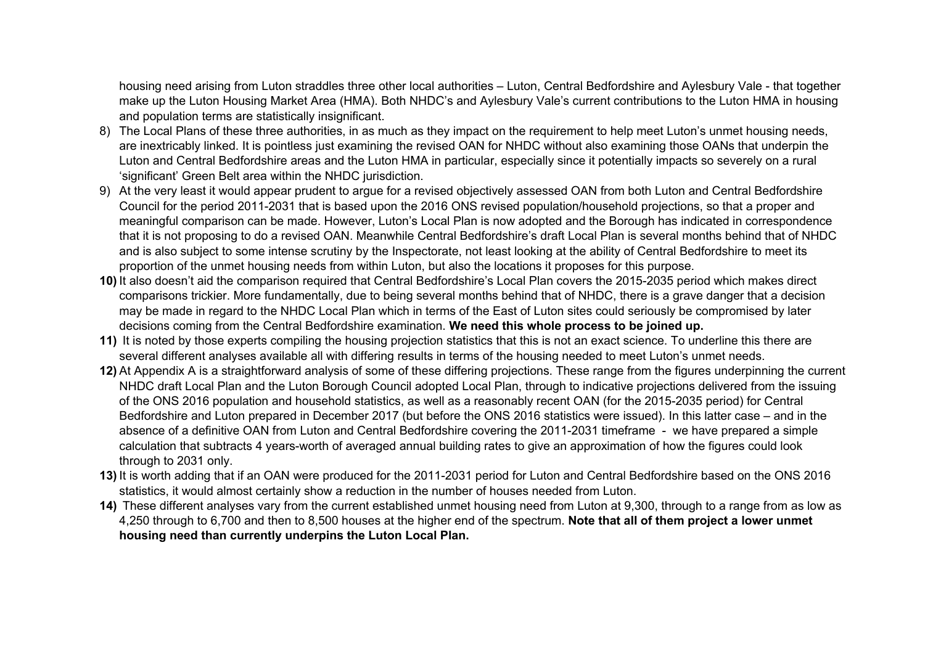housing need arising from Luton straddles three other local authorities – Luton, Central Bedfordshire and Aylesbury Vale - that together make up the Luton Housing Market Area (HMA). Both NHDC's and Aylesbury Vale's current contributions to the Luton HMA in housing and population terms are statistically insignificant.

- 8) The Local Plans of these three authorities, in as much as they impact on the requirement to help meet Luton's unmet housing needs, are inextricably linked. It is pointless just examining the revised OAN for NHDC without also examining those OANs that underpin the Luton and Central Bedfordshire areas and the Luton HMA in particular, especially since it potentially impacts so severely on a rural 'significant' Green Belt area within the NHDC jurisdiction.
- 9) At the very least it would appear prudent to argue for a revised objectively assessed OAN from both Luton and Central Bedfordshire Council for the period 2011-2031 that is based upon the 2016 ONS revised population/household projections, so that a proper and meaningful comparison can be made. However, Luton's Local Plan is now adopted and the Borough has indicated in correspondence that it is not proposing to do a revised OAN. Meanwhile Central Bedfordshire's draft Local Plan is several months behind that of NHDC and is also subject to some intense scrutiny by the Inspectorate, not least looking at the ability of Central Bedfordshire to meet its proportion of the unmet housing needs from within Luton, but also the locations it proposes for this purpose.
- **10)** It also doesn't aid the comparison required that Central Bedfordshire's Local Plan covers the 2015-2035 period which makes direct comparisons trickier. More fundamentally, due to being several months behind that of NHDC, there is a grave danger that a decision may be made in regard to the NHDC Local Plan which in terms of the East of Luton sites could seriously be compromised by later decisions coming from the Central Bedfordshire examination. **We need this whole process to be joined up.**
- **11)** It is noted by those experts compiling the housing projection statistics that this is not an exact science. To underline this there are several different analyses available all with differing results in terms of the housing needed to meet Luton's unmet needs.
- **12)** At Appendix A is a straightforward analysis of some of these differing projections. These range from the figures underpinning the current NHDC draft Local Plan and the Luton Borough Council adopted Local Plan, through to indicative projections delivered from the issuing of the ONS 2016 population and household statistics, as well as a reasonably recent OAN (for the 2015-2035 period) for Central Bedfordshire and Luton prepared in December 2017 (but before the ONS 2016 statistics were issued). In this latter case – and in the absence of a definitive OAN from Luton and Central Bedfordshire covering the 2011-2031 timeframe - we have prepared a simple calculation that subtracts 4 years-worth of averaged annual building rates to give an approximation of how the figures could look through to 2031 only.
- **13)** It is worth adding that if an OAN were produced for the 2011-2031 period for Luton and Central Bedfordshire based on the ONS 2016 statistics, it would almost certainly show a reduction in the number of houses needed from Luton.
- **14)** These different analyses vary from the current established unmet housing need from Luton at 9,300, through to a range from as low as 4,250 through to 6,700 and then to 8,500 houses at the higher end of the spectrum. **Note that all of them project a lower unmet housing need than currently underpins the Luton Local Plan.**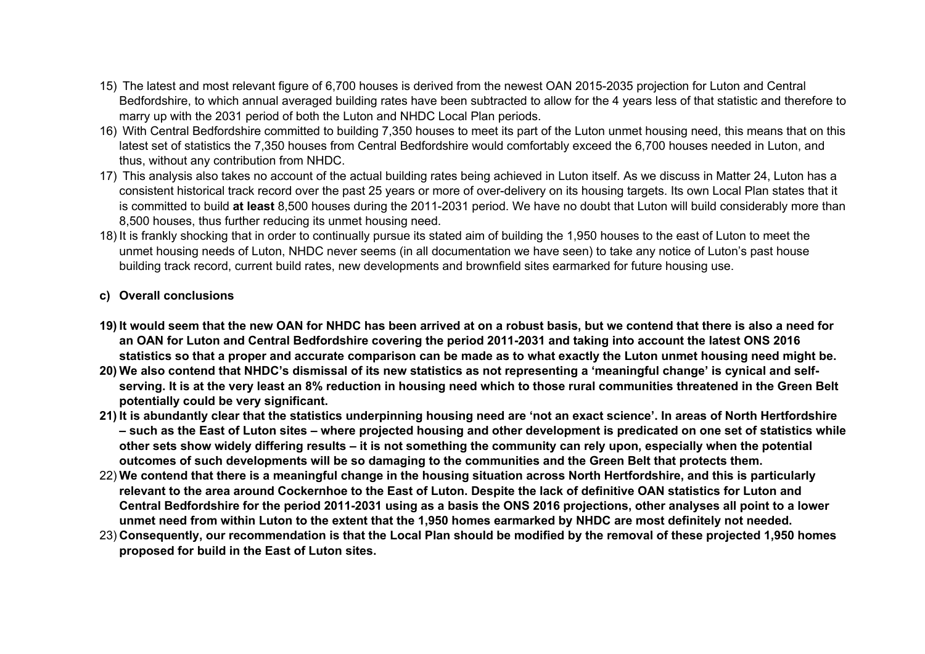- 15) The latest and most relevant figure of 6,700 houses is derived from the newest OAN 2015-2035 projection for Luton and Central Bedfordshire, to which annual averaged building rates have been subtracted to allow for the 4 years less of that statistic and therefore to marry up with the 2031 period of both the Luton and NHDC Local Plan periods.
- 16) With Central Bedfordshire committed to building 7,350 houses to meet its part of the Luton unmet housing need, this means that on this latest set of statistics the 7,350 houses from Central Bedfordshire would comfortably exceed the 6,700 houses needed in Luton, and thus, without any contribution from NHDC.
- 17) This analysis also takes no account of the actual building rates being achieved in Luton itself. As we discuss in Matter 24, Luton has a consistent historical track record over the past 25 years or more of over-delivery on its housing targets. Its own Local Plan states that it is committed to build **at least** 8,500 houses during the 2011-2031 period. We have no doubt that Luton will build considerably more than 8,500 houses, thus further reducing its unmet housing need.
- 18) It is frankly shocking that in order to continually pursue its stated aim of building the 1,950 houses to the east of Luton to meet the unmet housing needs of Luton, NHDC never seems (in all documentation we have seen) to take any notice of Luton's past house building track record, current build rates, new developments and brownfield sites earmarked for future housing use.

#### **c) Overall conclusions**

- **19) It would seem that the new OAN for NHDC has been arrived at on a robust basis, but we contend that there is also a need for an OAN for Luton and Central Bedfordshire covering the period 2011-2031 and taking into account the latest ONS 2016 statistics so that a proper and accurate comparison can be made as to what exactly the Luton unmet housing need might be.**
- **20) We also contend that NHDC's dismissal of its new statistics as not representing a 'meaningful change' is cynical and selfserving. It is at the very least an 8% reduction in housing need which to those rural communities threatened in the Green Belt potentially could be very significant.**
- **21) It is abundantly clear that the statistics underpinning housing need are 'not an exact science'. In areas of North Hertfordshire – such as the East of Luton sites – where projected housing and other development is predicated on one set of statistics while other sets show widely differing results – it is not something the community can rely upon, especially when the potential outcomes of such developments will be so damaging to the communities and the Green Belt that protects them.**
- 22) **We contend that there is a meaningful change in the housing situation across North Hertfordshire, and this is particularly relevant to the area around Cockernhoe to the East of Luton. Despite the lack of definitive OAN statistics for Luton and Central Bedfordshire for the period 2011-2031 using as a basis the ONS 2016 projections, other analyses all point to a lower unmet need from within Luton to the extent that the 1,950 homes earmarked by NHDC are most definitely not needed.**
- 23) **Consequently, our recommendation is that the Local Plan should be modified by the removal of these projected 1,950 homes proposed for build in the East of Luton sites.**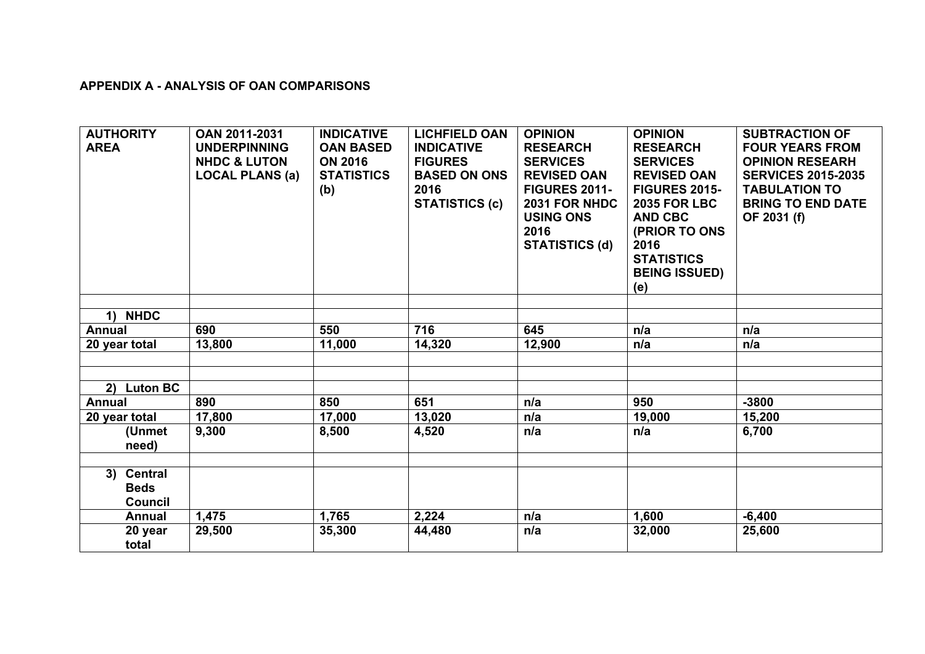### **APPENDIX A - ANALYSIS OF OAN COMPARISONS**

| <b>AUTHORITY</b><br><b>AREA</b>                       | <b>OAN 2011-2031</b><br><b>UNDERPINNING</b><br><b>NHDC &amp; LUTON</b><br><b>LOCAL PLANS (a)</b> | <b>INDICATIVE</b><br><b>OAN BASED</b><br><b>ON 2016</b><br><b>STATISTICS</b><br>(b) | <b>LICHFIELD OAN</b><br><b>INDICATIVE</b><br><b>FIGURES</b><br><b>BASED ON ONS</b><br>2016<br><b>STATISTICS (c)</b> | <b>OPINION</b><br><b>RESEARCH</b><br><b>SERVICES</b><br><b>REVISED OAN</b><br><b>FIGURES 2011-</b><br>2031 FOR NHDC<br><b>USING ONS</b><br>2016<br><b>STATISTICS (d)</b> | <b>OPINION</b><br><b>RESEARCH</b><br><b>SERVICES</b><br><b>REVISED OAN</b><br><b>FIGURES 2015-</b><br><b>2035 FOR LBC</b><br><b>AND CBC</b><br>(PRIOR TO ONS<br>2016<br><b>STATISTICS</b><br><b>BEING ISSUED)</b><br>(e) | <b>SUBTRACTION OF</b><br><b>FOUR YEARS FROM</b><br><b>OPINION RESEARH</b><br><b>SERVICES 2015-2035</b><br><b>TABULATION TO</b><br><b>BRING TO END DATE</b><br>OF 2031 (f) |
|-------------------------------------------------------|--------------------------------------------------------------------------------------------------|-------------------------------------------------------------------------------------|---------------------------------------------------------------------------------------------------------------------|--------------------------------------------------------------------------------------------------------------------------------------------------------------------------|--------------------------------------------------------------------------------------------------------------------------------------------------------------------------------------------------------------------------|---------------------------------------------------------------------------------------------------------------------------------------------------------------------------|
|                                                       |                                                                                                  |                                                                                     |                                                                                                                     |                                                                                                                                                                          |                                                                                                                                                                                                                          |                                                                                                                                                                           |
| 1) NHDC                                               |                                                                                                  |                                                                                     |                                                                                                                     |                                                                                                                                                                          |                                                                                                                                                                                                                          |                                                                                                                                                                           |
| <b>Annual</b>                                         | 690                                                                                              | 550                                                                                 | 716                                                                                                                 | 645                                                                                                                                                                      | n/a                                                                                                                                                                                                                      | n/a                                                                                                                                                                       |
| 20 year total                                         | 13,800                                                                                           | 11,000                                                                              | 14,320                                                                                                              | 12,900                                                                                                                                                                   | n/a                                                                                                                                                                                                                      | n/a                                                                                                                                                                       |
|                                                       |                                                                                                  |                                                                                     |                                                                                                                     |                                                                                                                                                                          |                                                                                                                                                                                                                          |                                                                                                                                                                           |
|                                                       |                                                                                                  |                                                                                     |                                                                                                                     |                                                                                                                                                                          |                                                                                                                                                                                                                          |                                                                                                                                                                           |
| <b>Luton BC</b><br>2)                                 |                                                                                                  |                                                                                     |                                                                                                                     |                                                                                                                                                                          |                                                                                                                                                                                                                          |                                                                                                                                                                           |
| <b>Annual</b>                                         | 890                                                                                              | 850                                                                                 | 651                                                                                                                 | n/a                                                                                                                                                                      | 950                                                                                                                                                                                                                      | $-3800$                                                                                                                                                                   |
| 20 year total                                         | 17,800                                                                                           | 17,000                                                                              | 13,020                                                                                                              | n/a                                                                                                                                                                      | 19,000                                                                                                                                                                                                                   | 15,200                                                                                                                                                                    |
| (Unmet<br>need)                                       | 9,300                                                                                            | 8,500                                                                               | 4,520                                                                                                               | n/a                                                                                                                                                                      | n/a                                                                                                                                                                                                                      | 6,700                                                                                                                                                                     |
|                                                       |                                                                                                  |                                                                                     |                                                                                                                     |                                                                                                                                                                          |                                                                                                                                                                                                                          |                                                                                                                                                                           |
| <b>Central</b><br>3)<br><b>Beds</b><br><b>Council</b> |                                                                                                  |                                                                                     |                                                                                                                     |                                                                                                                                                                          |                                                                                                                                                                                                                          |                                                                                                                                                                           |
| <b>Annual</b>                                         | 1,475                                                                                            | 1,765                                                                               | 2,224                                                                                                               | n/a                                                                                                                                                                      | 1,600                                                                                                                                                                                                                    | $-6,400$                                                                                                                                                                  |
| 20 year<br>total                                      | 29,500                                                                                           | 35,300                                                                              | 44,480                                                                                                              | n/a                                                                                                                                                                      | 32,000                                                                                                                                                                                                                   | 25,600                                                                                                                                                                    |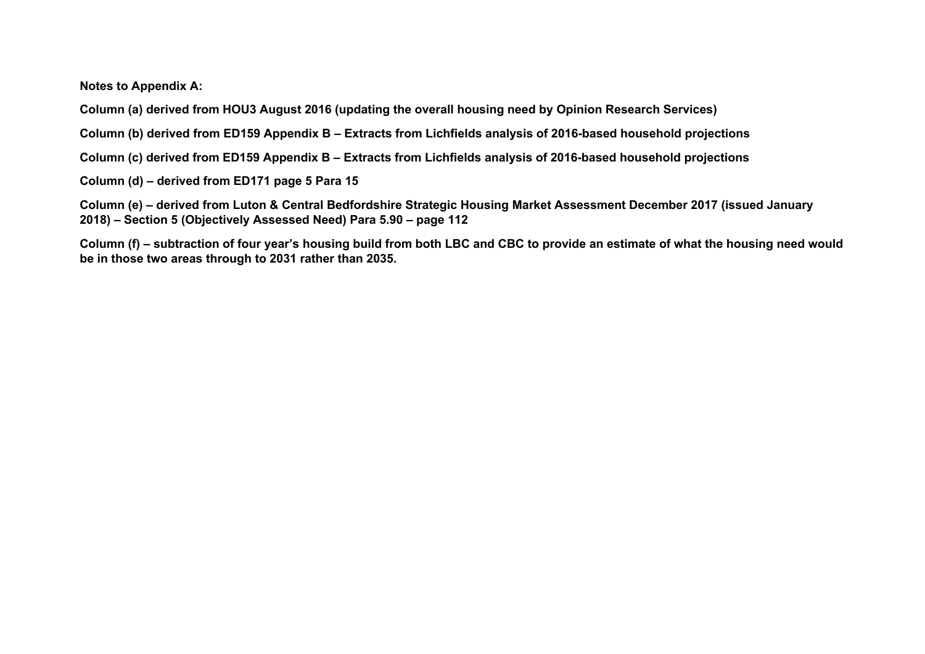**Notes to Appendix A:**

**Column (a) derived from HOU3 August 2016 (updating the overall housing need by Opinion Research Services)**

**Column (b) derived from ED159 Appendix B – Extracts from Lichfields analysis of 2016-based household projections**

**Column (c) derived from ED159 Appendix B – Extracts from Lichfields analysis of 2016-based household projections**

**Column (d) – derived from ED171 page 5 Para 15**

**Column (e) – derived from Luton & Central Bedfordshire Strategic Housing Market Assessment December 2017 (issued January 2018) – Section 5 (Objectively Assessed Need) Para 5.90 – page 112**

**Column (f) – subtraction of four year's housing build from both LBC and CBC to provide an estimate of what the housing need would be in those two areas through to 2031 rather than 2035.**